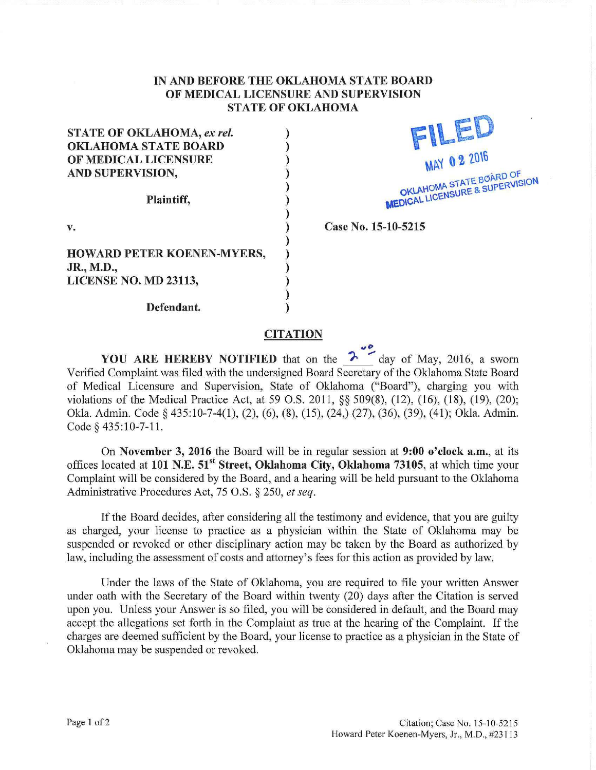## **IN AND BEFORE THE OKLAHOMA STATE BOARD OF MEDICAL LICENSURE AND SUPERVISION STATE OF OKLAHOMA**

) ) ) ) ) ) ) ) ) ) ) ) ) )

| <b>STATE OF OKLAHOMA, ex rel.</b> |
|-----------------------------------|
| <b>OKLAHOMA STATE BOARD</b>       |
| OF MEDICAL LICENSURE              |
| AND SUPERVISION,                  |
| Plaintiff,                        |
| v.                                |
| <b>HOWARD PETER KOENEN-MYERS,</b> |
| JR., M.D.,                        |
| LICENSE NO. MD 23113,             |
| Defendant.                        |



Case No. 15-10-5215

**CITATION** 

YOU ARE HEREBY NOTIFIED that on the  $\frac{2}{\sqrt{2}}$  day of May, 2016, a sworn Verified Complaint was filed with the undersigned Board Secretary of the Oklahoma State Board of Medical Licensure and Supervision, State of Oklahoma ("Board"), charging you with violations of the Medical Practice Act, at 59 O.S. 2011, §§ 509(8), (12), (16), (18), (19), (20); Okla. Admin. Code § 435:10-7-4(1), (2), (6), (8), (15), (24,) (27), (36), (39), (41); Okla. Admin. Code§ 435:10-7-11.

On **November 3, 2016** the Board will be in regular session at **9:00 o'clock a.m.,** at its offices located at 101 N.E. 51<sup>st</sup> Street, Oklahoma City, Oklahoma 73105, at which time your Complaint will be considered by the Board, and a hearing will be held pursuant to the Oklahoma Administrative Procedures Act, 75 O.S. § 250, *et seq.* 

If the Board decides, after considering all the testimony and evidence, that you are guilty as charged, your license to practice as a physician within the State of Oklahoma may be suspended or revoked or other disciplinary action may be taken by the Board as authorized by law, including the assessment of costs and attomey's fees for this action as provided by law.

Under the laws of the State of Oklahoma, you are required to file your written Answer under oath with the Secretary of the Board within twenty (20) days after the Citation is served upon you. Unless your Answer is so filed, you will be considered in default, and the Board may accept the allegations set forth in the Complaint as true at the hearing of the Complaint. If the charges are deemed sufficient by the Board, your license to practice as a physician in the State of Oklahoma may be suspended or revoked.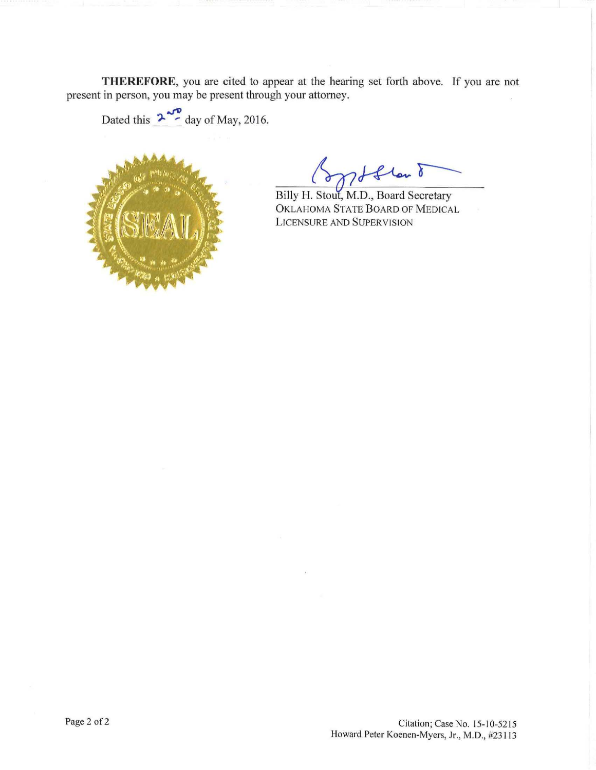**THEREFORE,** you are cited to appear at the hearing set forth above. If you are not present in person, you may be present through your attomey.

Dated this  $2\frac{10}{10}$  day of May, 2016.



flow 8

0KL AHOMA STATE BOARD OF MED ICAL Billy H. Stout, M.D., Board Secretary LICENSURE AND SUPER VISION